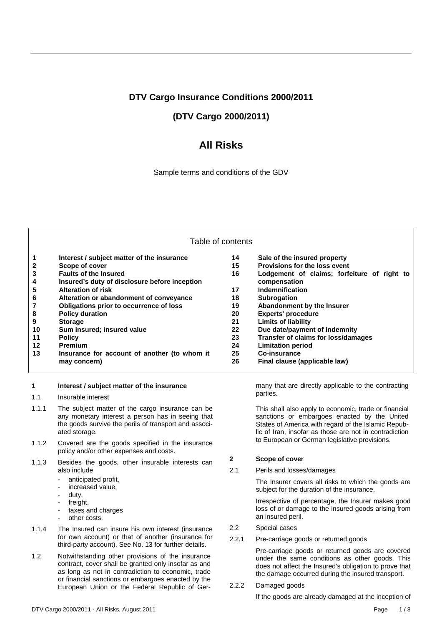## **DTV Cargo Insurance Conditions 2000/2011**

# **(DTV Cargo 2000/2011)**

# **All Risks**

Sample terms and conditions of the GDV

### Table of contents

| 1              | Interest / subject matter of the insurance    | 14 | Sale of the insured property                |
|----------------|-----------------------------------------------|----|---------------------------------------------|
| $\mathbf{2}$   | Scope of cover                                | 15 | Provisions for the loss event               |
| 3              | <b>Faults of the Insured</b>                  | 16 | Lodgement of claims; forfeiture of right to |
| $\overline{4}$ | Insured's duty of disclosure before inception |    | compensation                                |
| 5              | <b>Alteration of risk</b>                     | 17 | <b>Indemnification</b>                      |
| 6              | Alteration or abandonment of conveyance       | 18 | <b>Subrogation</b>                          |
| $\overline{7}$ | Obligations prior to occurrence of loss       | 19 | Abandonment by the Insurer                  |
| 8              | <b>Policy duration</b>                        | 20 | <b>Experts' procedure</b>                   |
| 9              | <b>Storage</b>                                | 21 | <b>Limits of liability</b>                  |
| 10             | Sum insured; insured value                    | 22 | Due date/payment of indemnity               |
| 11             | <b>Policy</b>                                 | 23 | Transfer of claims for loss/damages         |
| $12 \,$        | <b>Premium</b>                                | 24 | <b>Limitation period</b>                    |
| 13             | Insurance for account of another (to whom it  | 25 | Co-insurance                                |
|                | may concern)                                  | 26 | Final clause (applicable law)               |

#### **1 Interest / subject matter of the insurance**

- 1.1 Insurable interest
- 1.1.1 The subject matter of the cargo insurance can be any monetary interest a person has in seeing that the goods survive the perils of transport and associated storage.
- 1.1.2 Covered are the goods specified in the insurance policy and/or other expenses and costs.
- 1.1.3 Besides the goods, other insurable interests can also include
	- anticipated profit,
	- increased value,
	- duty,
	- freight,
	- taxes and charges
	- other costs.
- 1.1.4 The Insured can insure his own interest (insurance for own account) or that of another (insurance for third-party account). See No. 13 for further details.
- 1.2 Notwithstanding other provisions of the insurance contract, cover shall be granted only insofar as and as long as not in contradiction to economic, trade or financial sanctions or embargoes enacted by the European Union or the Federal Republic of Ger-

many that are directly applicable to the contracting parties.

This shall also apply to economic, trade or financial sanctions or embargoes enacted by the United States of America with regard of the Islamic Republic of Iran, insofar as those are not in contradiction to European or German legislative provisions.

### **2 Scope of cover**

2.1 Perils and losses/damages

 The Insurer covers all risks to which the goods are subject for the duration of the insurance.

 Irrespective of percentage, the Insurer makes good loss of or damage to the insured goods arising from an insured peril.

- 2.2 Special cases
- 2.2.1 Pre-carriage goods or returned goods

 Pre-carriage goods or returned goods are covered under the same conditions as other goods. This does not affect the Insured's obligation to prove that the damage occurred during the insured transport.

2.2.2 Damaged goods

If the goods are already damaged at the inception of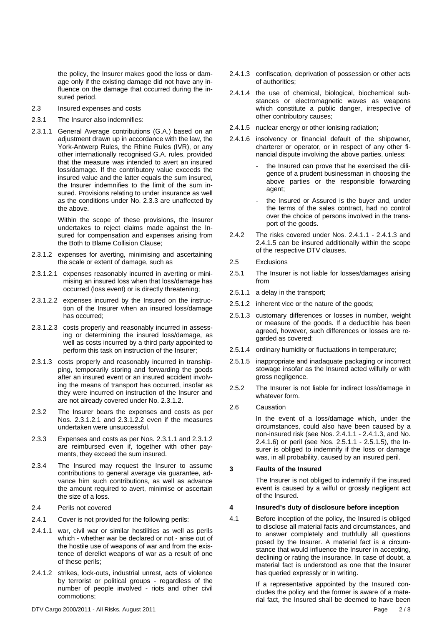the policy, the Insurer makes good the loss or damage only if the existing damage did not have any influence on the damage that occurred during the insured period.

- 2.3 Insured expenses and costs
- 2.3.1 The Insurer also indemnifies:
- 2.3.1.1 General Average contributions (G.A.) based on an adjustment drawn up in accordance with the law, the York-Antwerp Rules, the Rhine Rules (IVR), or any other internationally recognised G.A. rules, provided that the measure was intended to avert an insured loss/damage. If the contributory value exceeds the insured value and the latter equals the sum insured. the Insurer indemnifies to the limit of the sum insured. Provisions relating to under insurance as well as the conditions under No. 2.3.3 are unaffected by the above.

 Within the scope of these provisions, the Insurer undertakes to reject claims made against the Insured for compensation and expenses arising from the Both to Blame Collision Clause;

- 2.3.1.2 expenses for averting, minimising and ascertaining the scale or extent of damage, such as
- 2.3.1.2.1 expenses reasonably incurred in averting or minimising an insured loss when that loss/damage has occurred (loss event) or is directly threatening;
- 2.3.1.2.2 expenses incurred by the Insured on the instruction of the Insurer when an insured loss/damage has occurred;
- 2.3.1.2.3 costs properly and reasonably incurred in assessing or determining the insured loss/damage, as well as costs incurred by a third party appointed to perform this task on instruction of the Insurer;
- 2.3.1.3 costs properly and reasonably incurred in transhipping, temporarily storing and forwarding the goods after an insured event or an insured accident involving the means of transport has occurred, insofar as they were incurred on instruction of the Insurer and are not already covered under No. 2.3.1.2.
- 2.3.2 The Insurer bears the expenses and costs as per Nos. 2.3.1.2.1 and 2.3.1.2.2 even if the measures undertaken were unsuccessful.
- 2.3.3 Expenses and costs as per Nos. 2.3.1.1 and 2.3.1.2 are reimbursed even if, together with other payments, they exceed the sum insured.
- 2.3.4 The Insured may request the Insurer to assume contributions to general average via guarantee, advance him such contributions, as well as advance the amount required to avert, minimise or ascertain the size of a loss.
- 2.4 Perils not covered
- 2.4.1 Cover is not provided for the following perils:
- 2.4.1.1 war, civil war or similar hostilities as well as perils which - whether war be declared or not - arise out of the hostile use of weapons of war and from the existence of derelict weapons of war as a result of one of these perils;
- 2.4.1.2 strikes, lock-outs, industrial unrest, acts of violence by terrorist or political groups - regardless of the number of people involved - riots and other civil commotions;
- 2.4.1.3 confiscation, deprivation of possession or other acts of authorities;
- 2.4.1.4 the use of chemical, biological, biochemical substances or electromagnetic waves as weapons which constitute a public danger, irrespective of other contributory causes;
- 2.4.1.5 nuclear energy or other ionising radiation;
- 2.4.1.6 insolvency or financial default of the shipowner, charterer or operator, or in respect of any other financial dispute involving the above parties, unless:
	- the Insured can prove that he exercised the diligence of a prudent businessman in choosing the above parties or the responsible forwarding agent;
	- the Insured or Assured is the buyer and, under the terms of the sales contract, had no control over the choice of persons involved in the transport of the goods.
- 2.4.2 The risks covered under Nos. 2.4.1.1 2.4.1.3 and 2.4.1.5 can be insured additionally within the scope of the respective DTV clauses.
- 2.5 Exclusions
- 2.5.1 The Insurer is not liable for losses/damages arising from
- 2.5.1.1 a delay in the transport;
- 2.5.1.2 inherent vice or the nature of the goods;
- 2.5.1.3 customary differences or losses in number, weight or measure of the goods. If a deductible has been agreed, however, such differences or losses are regarded as covered;
- 2.5.1.4 ordinary humidity or fluctuations in temperature;
- 2.5.1.5 inappropriate and inadaquate packaging or incorrect stowage insofar as the Insured acted wilfully or with gross negligence.
- 2.5.2 The Insurer is not liable for indirect loss/damage in whatever form.
- 2.6 Causation

 In the event of a loss/damage which, under the circumstances, could also have been caused by a non-insured risk (see Nos. 2.4.1.1 - 2.4.1.3, and No. 2.4.1.6) or peril (see Nos. 2.5.1.1 - 2.5.1.5), the Insurer is obliged to indemnify if the loss or damage was, in all probability, caused by an insured peril.

### **3 Faults of the Insured**

 The Insurer is not obliged to indemnify if the insured event is caused by a wilful or grossly negligent act of the Insured.

#### **4 Insured's duty of disclosure before inception**

4.1 Before inception of the policy, the Insured is obliged to disclose all material facts and circumstances, and to answer completely and truthfully all questions posed by the Insurer. A material fact is a circumstance that would influence the Insurer in accepting, declining or rating the insurance. In case of doubt, a material fact is understood as one that the Insurer has queried expressly or in writing.

> If a representative appointed by the Insured concludes the policy and the former is aware of a material fact, the Insured shall be deemed to have been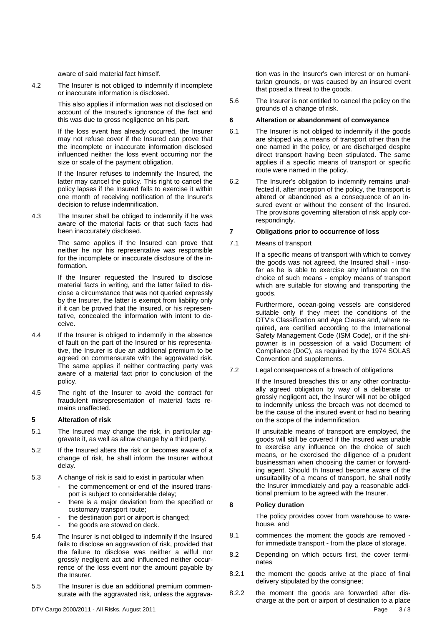aware of said material fact himself.

4.2 The Insurer is not obliged to indemnify if incomplete or inaccurate information is disclosed.

> This also applies if information was not disclosed on account of the Insured's ignorance of the fact and this was due to gross negligence on his part.

> If the loss event has already occurred, the Insurer may not refuse cover if the Insured can prove that the incomplete or inaccurate information disclosed influenced neither the loss event occurring nor the size or scale of the payment obligation.

> If the Insurer refuses to indemnify the Insured, the latter may cancel the policy. This right to cancel the policy lapses if the Insured falls to exercise it within one month of receiving notification of the Insurer's decision to refuse indemnification.

4.3 The Insurer shall be obliged to indemnify if he was aware of the material facts or that such facts had been inaccurately disclosed.

> The same applies if the Insured can prove that neither he nor his representative was responsible for the incomplete or inaccurate disclosure of the information.

> If the Insurer requested the Insured to disclose material facts in writing, and the latter failed to disclose a circumstance that was not queried expressly by the Insurer, the latter is exempt from liability only if it can be proved that the Insured, or his representative, concealed the information with intent to deceive.

- 4.4 If the Insurer is obliged to indemnify in the absence of fault on the part of the Insured or his representative, the Insurer is due an additional premium to be agreed on commensurate with the aggravated risk. The same applies if neither contracting party was aware of a material fact prior to conclusion of the policy.
- 4.5 The right of the Insurer to avoid the contract for fraudulent misrepresentation of material facts remains unaffected.

### **5 Alteration of risk**

- 5.1 The Insured may change the risk, in particular aggravate it, as well as allow change by a third party.
- 5.2 If the Insured alters the risk or becomes aware of a change of risk, he shall inform the Insurer without delay.
- 5.3 A change of risk is said to exist in particular when
	- the commencement or end of the insured transport is subject to considerable delay;
	- there is a major deviation from the specified or customary transport route;
	- the destination port or airport is changed:
	- the goods are stowed on deck.
- 5.4 The Insurer is not obliged to indemnify if the Insured fails to disclose an aggravation of risk, provided that the failure to disclose was neither a wilful nor grossly negligent act and influenced neither occurrence of the loss event nor the amount payable by the Insurer.
- 5.5 The Insurer is due an additional premium commensurate with the aggravated risk, unless the aggrava-

tion was in the Insurer's own interest or on humanitarian grounds, or was caused by an insured event that posed a threat to the goods.

5.6 The Insurer is not entitled to cancel the policy on the grounds of a change of risk.

#### **6 Alteration or abandonment of conveyance**

- 6.1 The Insurer is not obliged to indemnify if the goods are shipped via a means of transport other than the one named in the policy, or are discharged despite direct transport having been stipulated. The same applies if a specific means of transport or specific route were named in the policy.
- 6.2 The Insurer's obligation to indemnify remains unaffected if, after inception of the policy, the transport is altered or abandoned as a consequence of an insured event or without the consent of the Insured. The provisions governing alteration of risk apply correspondingly.

### **7 Obligations prior to occurrence of loss**

### 7.1 Means of transport

 If a specific means of transport with which to convey the goods was not agreed, the Insured shall - insofar as he is able to exercise any influence on the choice of such means - employ means of transport which are suitable for stowing and transporting the goods.

 Furthermore, ocean-going vessels are considered suitable only if they meet the conditions of the DTV's Classification and Age Clause and, where required, are certified according to the International Safety Management Code (ISM Code), or if the shipowner is in possession of a valid Document of Compliance (DoC), as required by the 1974 SOLAS Convention and supplements.

7.2 Legal consequences of a breach of obligations

 If the Insured breaches this or any other contractually agreed obligation by way of a deliberate or grossly negligent act, the Insurer will not be obliged to indemnify unless the breach was not deemed to be the cause of the insured event or had no bearing on the scope of the indemnification.

 If unsuitable means of transport are employed, the goods will still be covered if the Insured was unable to exercise any influence on the choice of such means, or he exercised the diligence of a prudent businessman when choosing the carrier or forwarding agent. Should th Insured become aware of the unsuitability of a means of transport, he shall notify the Insurer immediately and pay a reasonable additional premium to be agreed with the Insurer.

### **8 Policy duration**

 The policy provides cover from warehouse to warehouse, and

- 8.1 commences the moment the goods are removed for immediate transport - from the place of storage.
- 8.2 Depending on which occurs first, the cover terminates
- 8.2.1 the moment the goods arrive at the place of final delivery stipulated by the consignee;
- DTV Cargo 2000/2011 All Risks, August 2011 Page 3 / 8 8.2.2 the moment the goods are forwarded after discharge at the port or airport of destination to a place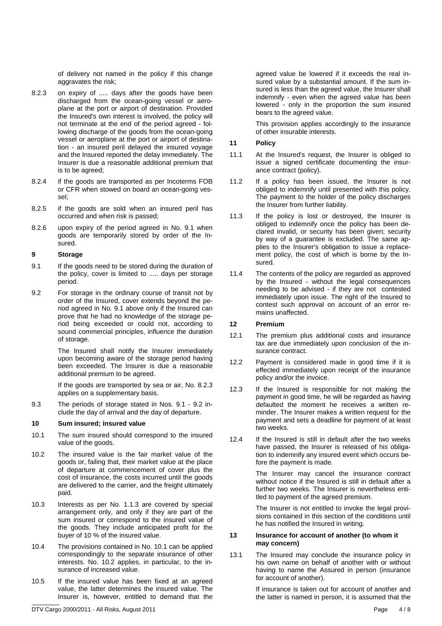of delivery not named in the policy if this change aggravates the risk;

- 8.2.3 on expiry of ..... days after the goods have been discharged from the ocean-going vessel or aeroplane at the port or airport of destination. Provided the Insured's own interest is involved, the policy will not terminate at the end of the period agreed - following discharge of the goods from the ocean-going vessel or aeroplane at the port or airport of destination - an insured peril delayed the insured voyage and the Insured reported the delay immediately. The Insurer is due a reasonable additional premium that is to be agreed;
- 8.2.4 if the goods are transported as per Incoterms FOB or CFR when stowed on board an ocean-going vessel;
- 8.2.5 if the goods are sold when an insured peril has occurred and when risk is passed;
- 8.2.6 upon expiry of the period agreed in No. 9.1 when goods are temporarily stored by order of the Insured.

### **9 Storage**

- 9.1 If the goods need to be stored during the duration of the policy, cover is limited to ..... days per storage period.
- 9.2 For storage in the ordinary course of transit not by order of the Insured, cover extends beyond the period agreed in No. 9.1 above only if the Insured can prove that he had no knowledge of the storage period being exceeded or could not, according to sound commercial principles, influence the duration of storage.

 The Insured shall notify the Insurer immediately upon becoming aware of the storage period having been exceeded. The Insurer is due a reasonable additional premium to be agreed.

 If the goods are transported by sea or air, No. 8.2.3 applies on a supplementary basis.

9.3 The periods of storage stated in Nos. 9.1 - 9.2 include the day of arrival and the day of departure.

### **10 Sum insured; insured value**

- 10.1 The sum insured should correspond to the insured value of the goods.
- 10.2 The insured value is the fair market value of the goods or, failing that, their market value at the place of departure at commencement of cover plus the cost of insurance, the costs incurred until the goods are delivered to the carrier, and the freight ultimately paid.
- 10.3 Interests as per No. 1.1.3 are covered by special arrangement only, and only if they are part of the sum insured or correspond to the insured value of the goods. They include anticipated profit for the buyer of 10 % of the insured value.
- 10.4 The provisions contained in No. 10.1 can be applied correspondingly to the separate insurance of other interests. No. 10.2 applies, in particular, to the insurance of increased value.
- 10.5 If the insured value has been fixed at an agreed value, the latter determines the insured value. The Insurer is, however, entitled to demand that the

agreed value be lowered if it exceeds the real insured value by a substantial amount. If the sum insured is less than the agreed value, the Insurer shall indemnify - even when the agreed value has been lowered - only in the proportion the sum insured bears to the agreed value.

 This provision applies accordingly to the insurance of other insurable interests.

### **11 Policy**

- 11.1 At the Insured's request, the Insurer is obliged to issue a signed certificate documenting the insurance contract (policy).
- 11.2 If a policy has been issued, the Insurer is not obliged to indemnify until presented with this policy. The payment to the holder of the policy discharges the Insurer from further liability.
- 11.3 If the policy is lost or destroyed, the Insurer is obliged to indemnify once the policy has been declared invalid, or security has been given; security by way of a guarantee is excluded. The same applies to the Insurer's obligation to issue a replacement policy, the cost of which is borne by the Insured.
- 11.4 The contents of the policy are regarded as approved by the Insured - without the legal consequences needing to be advised - if they are not contested immediately upon issue. The right of the Insured to contest such approval on account of an error remains unaffected.

### **12 Premium**

- 12.1 The premium plus additional costs and insurance tax are due immediately upon conclusion of the insurance contract.
- 12.2 Payment is considered made in good time if it is effected immediately upon receipt of the insurance policy and/or the invoice.
- 12.3 If the Insured is responsible for not making the payment in good time, he will be regarded as having defaulted the moment he receives a written reminder. The Insurer makes a written request for the payment and sets a deadline for payment of at least two weeks.
- 12.4 If the Insured is still in default after the two weeks have passed, the Insurer is released of his obligation to indemnify any insured event which occurs before the payment is made.

 The Insurer may cancel the insurance contract without notice if the Insured is still in default after a further two weeks. The Insurer is nevertheless entitled to payment of the agreed premium.

 The Insurer is not entitled to invoke the legal provisions contained in this section of the conditions until he has notified the Insured in writing.

#### **13 Insurance for account of another (to whom it may concern)**

13.1 The Insured may conclude the insurance policy in his own name on behalf of another with or without having to name the Assured in person (insurance for account of another).

> If insurance is taken out for account of another and the latter is named in person, it is assumed that the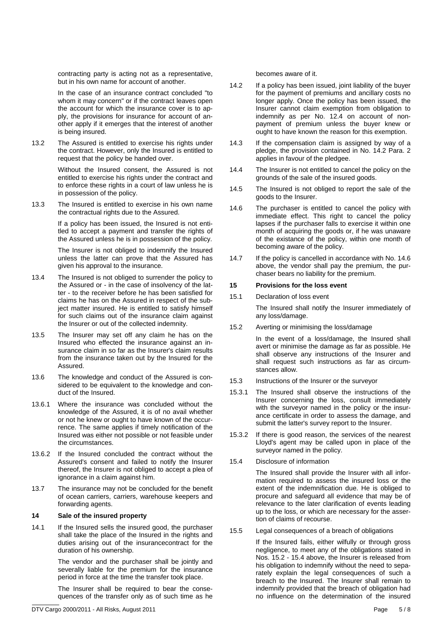contracting party is acting not as a representative, but in his own name for account of another.

 In the case of an insurance contract concluded "to whom it may concern" or if the contract leaves open the account for which the insurance cover is to apply, the provisions for insurance for account of another apply if it emerges that the interest of another is being insured.

13.2 The Assured is entitled to exercise his rights under the contract. However, only the Insured is entitled to request that the policy be handed over.

> Without the Insured consent, the Assured is not entitled to exercise his rights under the contract and to enforce these rights in a court of law unless he is in possession of the policy.

13.3 The Insured is entitled to exercise in his own name the contractual rights due to the Assured.

> If a policy has been issued, the Insured is not entitled to accept a payment and transfer the rights of the Assured unless he is in possession of the policy.

> The Insurer is not obliged to indemnify the Insured unless the latter can prove that the Assured has given his approval to the insurance.

- 13.4 The Insured is not obliged to surrender the policy to the Assured or - in the case of insolvency of the latter - to the receiver before he has been satisfied for claims he has on the Assured in respect of the subject matter insured. He is entitled to satisfy himself for such claims out of the insurance claim against the Insurer or out of the collected indemnity.
- 13.5 The Insurer may set off any claim he has on the Insured who effected the insurance against an insurance claim in so far as the Insurer's claim results from the insurance taken out by the Insured for the Assured.
- 13.6 The knowledge and conduct of the Assured is considered to be equivalent to the knowledge and conduct of the Insured.
- 13.6.1 Where the insurance was concluded without the knowledge of the Assured, it is of no avail whether or not he knew or ought to have known of the occurrence. The same applies if timely notification of the Insured was either not possible or not feasible under the circumstances.
- 13.6.2 If the Insured concluded the contract without the Assured's consent and failed to notify the Insurer thereof, the Insurer is not obliged to accept a plea of ignorance in a claim against him.
- 13.7 The insurance may not be concluded for the benefit of ocean carriers, carriers, warehouse keepers and forwarding agents.

### **14 Sale of the insured property**

14.1 If the Insured sells the insured good, the purchaser shall take the place of the Insured in the rights and duties arising out of the insurancecontract for the duration of his ownership.

> The vendor and the purchaser shall be jointly and severally liable for the premium for the insurance period in force at the time the transfer took place.

> The Insurer shall be required to bear the consequences of the transfer only as of such time as he

becomes aware of it.

- 14.2 If a policy has been issued, joint liability of the buyer for the payment of premiums and ancillary costs no longer apply. Once the policy has been issued, the Insurer cannot claim exemption from obligation to indemnify as per No. 12.4 on account of nonpayment of premium unless the buyer knew or ought to have known the reason for this exemption.
- 14.3 If the compensation claim is assigned by way of a pledge, the provision contained in No. 14.2 Para. 2 applies in favour of the pledgee.
- 14.4 The Insurer is not entitled to cancel the policy on the grounds of the sale of the insured goods.
- 14.5 The Insured is not obliged to report the sale of the goods to the Insurer.
- 14.6 The purchaser is entitled to cancel the policy with immediate effect. This right to cancel the policy lapses if the purchaser falls to exercise it within one month of acquiring the goods or, if he was unaware of the existance of the policy, within one month of becoming aware of the policy.
- 14.7 If the policy is cancelled in accordance with No. 14.6 above, the vendor shall pay the premium, the purchaser bears no liability for the premium.

#### **15 Provisions for the loss event**

15.1 Declaration of loss event

 The Insured shall notify the Insurer immediately of any loss/damage.

15.2 Averting or minimising the loss/damage

 In the event of a loss/damage, the Insured shall avert or minimise the damage as far as possible. He shall observe any instructions of the Insurer and shall request such instructions as far as circumstances allow.

- 15.3 Instructions of the Insurer or the surveyor
- 15.3.1 The Insured shall observe the instructions of the Insurer concerning the loss, consult immediately with the surveyor named in the policy or the insurance certificate in order to assess the damage, and submit the latter's survey report to the Insurer.
- 15.3.2 If there is good reason, the services of the nearest Lloyd's agent may be called upon in place of the surveyor named in the policy.
- 15.4 Disclosure of information

 The Insured shall provide the Insurer with all information required to assess the insured loss or the extent of the indemnification due. He is obliged to procure and safeguard all evidence that may be of relevance to the later clarification of events leading up to the loss, or which are necessary for the assertion of claims of recourse.

15.5 Legal consequences of a breach of obligations

 If the Insured fails, either wilfully or through gross negligence, to meet any of the obligations stated in Nos. 15.2 - 15.4 above, the Insurer is released from his obligation to indemnify without the need to separately explain the legal consequences of such a breach to the Insured. The Insurer shall remain to indemnify provided that the breach of obligation had no influence on the determination of the insured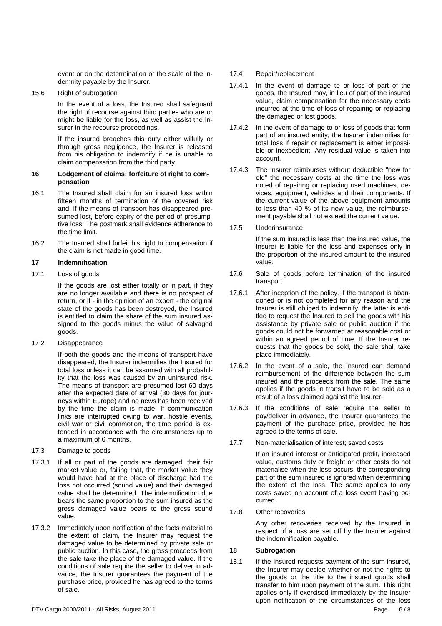event or on the determination or the scale of the indemnity payable by the Insurer.

15.6 Right of subrogation

 In the event of a loss, the Insured shall safeguard the right of recourse against third parties who are or might be liable for the loss, as well as assist the Insurer in the recourse proceedings.

 If the insured breaches this duty either wilfully or through gross negligence, the Insurer is released from his obligation to indemnify if he is unable to claim compensation from the third party.

#### **16 Lodgement of claims; forfeiture of right to compensation**

- 16.1 The Insured shall claim for an insured loss within fifteen months of termination of the covered risk and, if the means of transport has disappeared presumed lost, before expiry of the period of presumptive loss. The postmark shall evidence adherence to the time limit.
- 16.2 The Insured shall forfeit his right to compensation if the claim is not made in good time.

### **17 Indemnification**

### 17.1 Loss of goods

 If the goods are lost either totally or in part, if they are no longer available and there is no prospect of return, or if - in the opinion of an expert - the original state of the goods has been destroyed, the Insured is entitled to claim the share of the sum insured assigned to the goods minus the value of salvaged goods.

17.2 Disappearance

 If both the goods and the means of transport have disappeared, the Insurer indemnifies the Insured for total loss unless it can be assumed with all probability that the loss was caused by an uninsured risk. The means of transport are presumed lost 60 days after the expected date of arrival (30 days for journeys within Europe) and no news has been received by the time the claim is made. If communication links are interrupted owing to war, hostile events, civil war or civil commotion, the time period is extended in accordance with the circumstances up to a maximum of 6 months.

- 17.3 Damage to goods
- 17.3.1 If all or part of the goods are damaged, their fair market value or, failing that, the market value they would have had at the place of discharge had the loss not occurred (sound value) and their damaged value shall be determined. The indemnification due bears the same proportion to the sum insured as the gross damaged value bears to the gross sound value.
- 17.3.2 Immediately upon notification of the facts material to the extent of claim, the Insurer may request the damaged value to be determined by private sale or public auction. In this case, the gross proceeds from the sale take the place of the damaged value. If the conditions of sale require the seller to deliver in advance, the Insurer guarantees the payment of the purchase price, provided he has agreed to the terms of sale.

### 17.4 Repair/replacement

- 17.4.1 In the event of damage to or loss of part of the goods, the Insured may, in lieu of part of the insured value, claim compensation for the necessary costs incurred at the time of loss of repairing or replacing the damaged or lost goods.
- 17.4.2 In the event of damage to or loss of goods that form part of an insured entity, the Insurer indemnifies for total loss if repair or replacement is either impossible or inexpedient. Any residual value is taken into account.
- 17.4.3 The Insurer reimburses without deductible "new for old" the necessary costs at the time the loss was noted of repairing or replacing used machines, devices, equipment, vehicles and their components. If the current value of the above equipment amounts to less than 40 % of its new value, the reimbursement payable shall not exceed the current value.
- 17.5 Underinsurance

 If the sum insured is less than the insured value, the Insurer is liable for the loss and expenses only in the proportion of the insured amount to the insured value.

- 17.6 Sale of goods before termination of the insured transport
- 17.6.1 After inception of the policy, if the transport is abandoned or is not completed for any reason and the Insurer is still obliged to indemnify, the latter is entitled to request the Insured to sell the goods with his assistance by private sale or public auction if the goods could not be forwarded at reasonable cost or within an agreed period of time. If the Insurer requests that the goods be sold, the sale shall take place immediately.
- 17.6.2 In the event of a sale, the Insured can demand reimbursement of the difference between the sum insured and the proceeds from the sale. The same applies if the goods in transit have to be sold as a result of a loss claimed against the Insurer.
- 17.6.3 If the conditions of sale require the seller to pay/deliver in advance, the Insurer guarantees the payment of the purchase price, provided he has agreed to the terms of sale.
- 17.7 Non-materialisation of interest; saved costs

 If an insured interest or anticipated profit, increased value, customs duty or freight or other costs do not materialise when the loss occurs, the corresponding part of the sum insured is ignored when determining the extent of the loss. The same applies to any costs saved on account of a loss event having occurred.

17.8 Other recoveries

 Any other recoveries received by the Insured in respect of a loss are set off by the Insurer against the indemnification payable.

### **18 Subrogation**

18.1 If the Insured requests payment of the sum insured, the Insurer may decide whether or not the rights to the goods or the title to the insured goods shall transfer to him upon payment of the sum. This right applies only if exercised immediately by the Insurer upon notification of the circumstances of the loss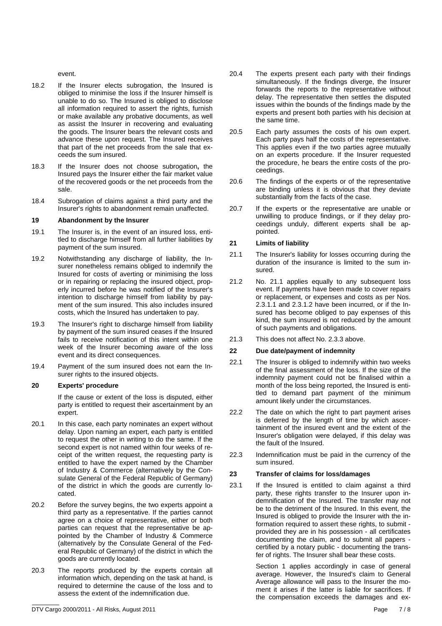event.

- 18.2 If the Insurer elects subrogation, the Insured is obliged to minimise the loss if the Insurer himself is unable to do so. The Insured is obliged to disclose all information required to assert the rights, furnish or make available any probative documents, as well as assist the Insurer in recovering and evaluating the goods. The Insurer bears the relevant costs and advance these upon request. The Insured receives that part of the net proceeds from the sale that exceeds the sum insured.
- 18.3 If the Insurer does not choose subrogation**,** the Insured pays the Insurer either the fair market value of the recovered goods or the net proceeds from the sale.
- 18.4 Subrogation of claims against a third party and the Insurer's rights to abandonment remain unaffected.

### **19 Abandonment by the Insurer**

- 19.1 The Insurer is, in the event of an insured loss, entitled to discharge himself from all further liabilities by payment of the sum insured.
- 19.2 Notwithstanding any discharge of liability, the Insurer nonetheless remains obliged to indemnify the Insured for costs of averting or minimising the loss or in repairing or replacing the insured object, properly incurred before he was notified of the Insurer's intention to discharge himself from liability by payment of the sum insured. This also includes insured costs, which the Insured has undertaken to pay.
- 19.3 The Insurer's right to discharge himself from liability by payment of the sum insured ceases if the Insured fails to receive notification of this intent within one week of the Insurer becoming aware of the loss event and its direct consequences.
- 19.4 Payment of the sum insured does not earn the Insurer rights to the insured objects.

### **20 Experts' procedure**

 If the cause or extent of the loss is disputed, either party is entitled to request their ascertainment by an expert.

- 20.1 In this case, each party nominates an expert without delay. Upon naming an expert, each party is entitled to request the other in writing to do the same. If the second expert is not named within four weeks of receipt of the written request, the requesting party is entitled to have the expert named by the Chamber of Industry & Commerce (alternatively by the Consulate General of the Federal Republic of Germany) of the district in which the goods are currently located.
- 20.2 Before the survey begins, the two experts appoint a third party as a representative. If the parties cannot agree on a choice of representative, either or both parties can request that the representative be appointed by the Chamber of Industry & Commerce (alternatively by the Consulate General of the Federal Republic of Germany) of the district in which the goods are currently located.
- 20.3 The reports produced by the experts contain all information which, depending on the task at hand, is required to determine the cause of the loss and to assess the extent of the indemnification due.
- 20.4 The experts present each party with their findings simultaneously. If the findings diverge, the Insurer forwards the reports to the representative without delay. The representative then settles the disputed issues within the bounds of the findings made by the experts and present both parties with his decision at the same time.
- 20.5 Each party assumes the costs of his own expert. Each party pays half the costs of the representative. This applies even if the two parties agree mutually on an experts procedure. If the Insurer requested the procedure, he bears the entire costs of the proceedings.
- 20.6 The findings of the experts or of the representative are binding unless it is obvious that they deviate substantially from the facts of the case.
- 20.7 If the experts or the representative are unable or unwilling to produce findings, or if they delay proceedings unduly, different experts shall be appointed.

### **21 Limits of liability**

- 21.1 The Insurer's liability for losses occurring during the duration of the insurance is limited to the sum insured.
- 21.2 No. 21.1 applies equally to any subsequent loss event. If payments have been made to cover repairs or replacement, or expenses and costs as per Nos. 2.3.1.1 and 2.3.1.2 have been incurred, or if the Insured has become obliged to pay expenses of this kind, the sum insured is not reduced by the amount of such payments and obligations.
- 21.3 This does not affect No. 2.3.3 above.

### **22 Due date/payment of indemnity**

- 22.1 The Insurer is obliged to indemnify within two weeks of the final assessment of the loss. If the size of the indemnity payment could not be finalised within a month of the loss being reported, the Insured is entitled to demand part payment of the minimum amount likely under the circumstances.
- 22.2 The date on which the right to part payment arises is deferred by the length of time by which ascertainment of the insured event and the extent of the Insurer's obligation were delayed, if this delay was the fault of the Insured.
- 22.3 Indemnification must be paid in the currency of the sum insured.

### **23 Transfer of claims for loss/damages**

23.1 If the Insured is entitled to claim against a third party, these rights transfer to the Insurer upon indemnification of the Insured. The transfer may not be to the detriment of the Insured. In this event, the Insured is obliged to provide the Insurer with the information required to assert these rights, to submit provided they are in his possession - all certificates documenting the claim, and to submit all papers certified by a notary public - documenting the transfer of rights. The Insurer shall bear these costs.

> Section 1 applies accordingly in case of general average. However, the Insured's claim to General Average allowance will pass to the Insurer the moment it arises if the latter is liable for sacrifices. If the compensation exceeds the damages and ex